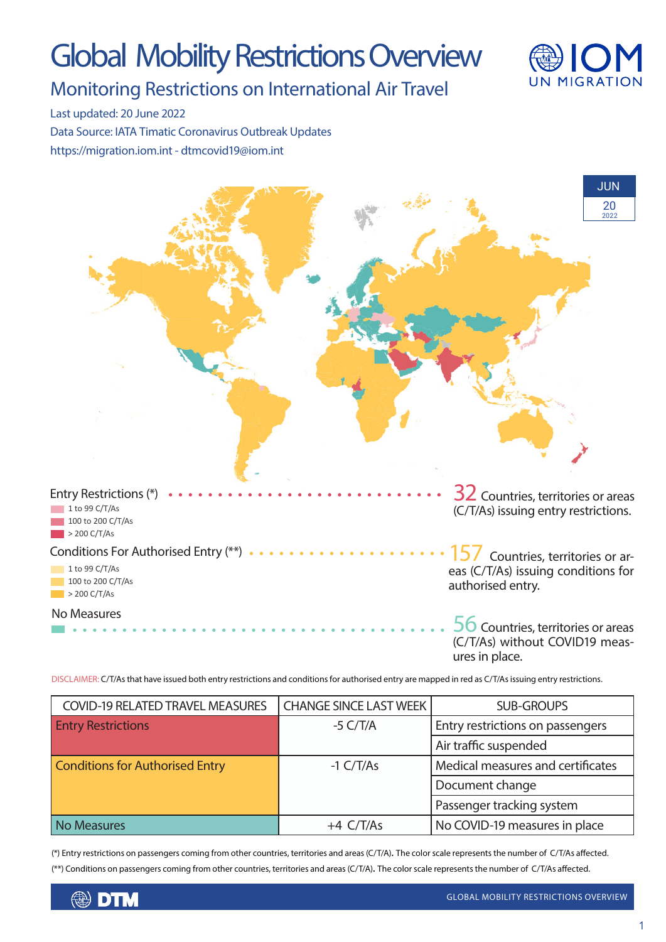# Global Mobility Restrictions Overview



### Monitoring Restrictions on International Air Travel

Last updated: 20 June 2022

Data Source: IATA Timatic Coronavirus Outbreak Updates https://migration.iom.int - dtmcovid19@iom.int



DISCLAIMER: C/T/As that have issued both entry restrictions and conditions for authorised entry are mapped in red as C/T/As issuing entry restrictions.

| <b>COVID-19 RELATED TRAVEL MEASURES</b> | <b>CHANGE SINCE LAST WEEK</b> | <b>SUB-GROUPS</b>                 |
|-----------------------------------------|-------------------------------|-----------------------------------|
| <b>Entry Restrictions</b>               | $-5$ C/T/A                    | Entry restrictions on passengers  |
|                                         |                               | Air traffic suspended             |
| <b>Conditions for Authorised Entry</b>  | $-1 C/T/As$                   | Medical measures and certificates |
|                                         |                               | Document change                   |
|                                         |                               | Passenger tracking system         |
| <b>No Measures</b>                      | $+4$ C/T/As                   | No COVID-19 measures in place     |

(\*) Entry restrictions on passengers coming from other countries, territories and areas (C/T/A). The color scale represents the number of C/T/As affected. (\*\*) Conditions on passengers coming from other countries, territories and areas (C/T/A). The color scale represents the number of C/T/As affected.

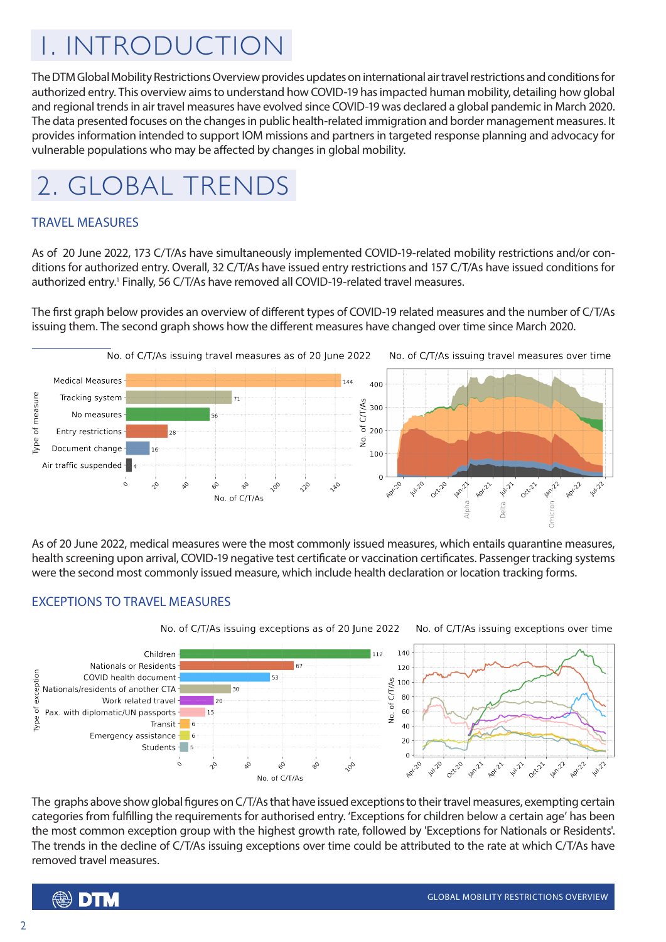## 1. INTRODUCTION

The DTM Global Mobility Restrictions Overview provides updates on international air travel restrictions and conditions for authorized entry. This overview aims to understand how COVID-19 has impacted human mobility, detailing how global and regional trends in air travel measures have evolved since COVID-19 was declared a global pandemic in March 2020. The data presented focuses on the changes in public health-related immigration and border management measures. It provides information intended to support IOM missions and partners in targeted response planning and advocacy for vulnerable populations who may be affected by changes in global mobility.



#### TRAVEL MEASURES

As of 20 June 2022, 173 C/T/As have simultaneously implemented COVID-19-related mobility restrictions and/or conditions for authorized entry. Overall, 32 C/T/As have issued entry restrictions and 157 C/T/As have issued conditions for authorized entry.<sup>1</sup> Finally, 56 C/T/As have removed all COVID-19-related travel measures.

The first graph below provides an overview of different types of COVID-19 related measures and the number of C/T/As issuing them. The second graph shows how the different measures have changed over time since March 2020.



As of 20 June 2022, medical measures were the most commonly issued measures, which entails quarantine measures, health screening upon arrival, COVID-19 negative test certificate or vaccination certificates. Passenger tracking systems were the second most commonly issued measure, which include health declaration or location tracking forms.

#### EXCEPTIONS TO TRAVEL MEASURES



The graphs above show global figures on C/T/As that have issued exceptions to their travel measures, exempting certain categories from fulfilling the requirements for authorised entry. 'Exceptions for children below a certain age' has been the most common exception group with the highest growth rate, followed by 'Exceptions for Nationals or Residents'. The trends in the decline of C/T/As issuing exceptions over time could be attributed to the rate at which C/T/As have removed travel measures.